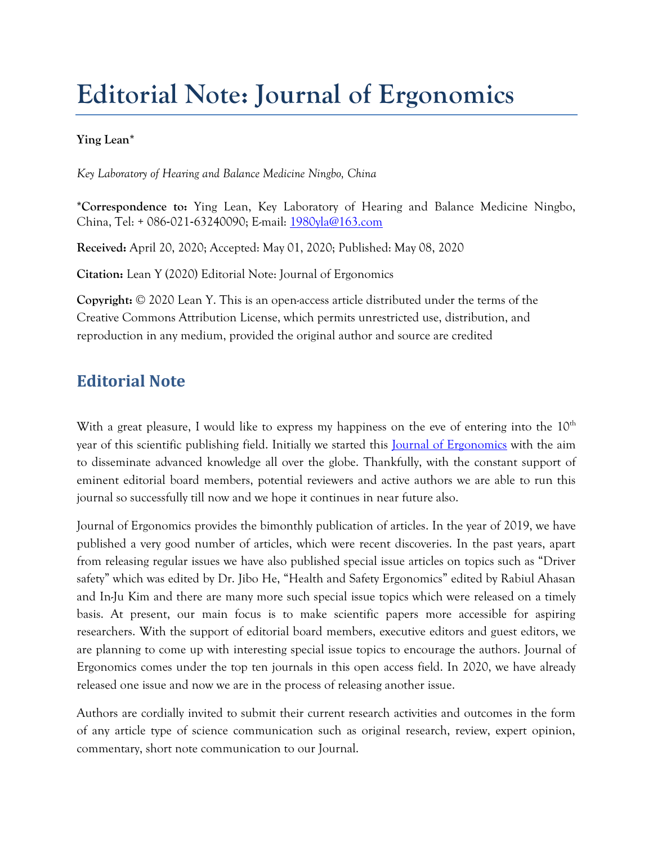## **Editorial Note: Journal of Ergonomics**

## **Ying Lean\***

*Key Laboratory of Hearing and Balance Medicine Ningbo, China* 

**\*Correspondence to:** Ying Lean, Key Laboratory of Hearing and Balance Medicine Ningbo, China, Tel: + 086‐021‐63240090; E-mail: [1980yla@163.com](mailto:1980yla@163.com)

**Received:** April 20, 2020; Accepted: May 01, 2020; Published: May 08, 2020

**Citation:** Lean Y (2020) Editorial Note: Journal of Ergonomics

**Copyright:** © 2020 Lean Y. This is an open-access article distributed under the terms of the Creative Commons Attribution License, which permits unrestricted use, distribution, and reproduction in any medium, provided the original author and source are credited

## **Editorial Note**

With a great pleasure, I would like to express my happiness on the eve of entering into the  $10<sup>th</sup>$ year of this scientific publishing field. Initially we started this **Journal of Ergonomics** with the aim to disseminate advanced knowledge all over the globe. Thankfully, with the constant support of eminent editorial board members, potential reviewers and active authors we are able to run this journal so successfully till now and we hope it continues in near future also.

Journal of Ergonomics provides the bimonthly publication of articles. In the year of 2019, we have published a very good number of articles, which were recent discoveries. In the past years, apart from releasing regular issues we have also published special issue articles on topics such as "Driver safety" which was edited by Dr. Jibo He, "Health and Safety Ergonomics" edited by Rabiul Ahasan and In-Ju Kim and there are many more such special issue topics which were released on a timely basis. At present, our main focus is to make scientific papers more accessible for aspiring researchers. With the support of editorial board members, executive editors and guest editors, we are planning to come up with interesting special issue topics to encourage the authors. Journal of Ergonomics comes under the top ten journals in this open access field. In 2020, we have already released one issue and now we are in the process of releasing another issue.

Authors are cordially invited to submit their current research activities and outcomes in the form of any article type of science communication such as original research, review, expert opinion, commentary, short note communication to our Journal.